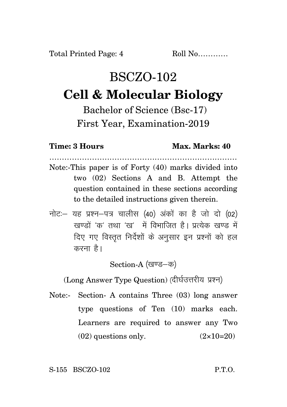## BSCZO-102 **Cell & Molecular Biology**

Bachelor of Science (Bsc-17) First Year, Examination-2019

**Time: 3 Hours Max. Marks: 40**

- ………………………………………………………………… Note:-This paper is of Forty (40) marks divided into two (02) Sections A and B. Attempt the question contained in these sections according to the detailed instructions given therein.
- नोट: यह प्रश्न-पत्र चालीस (40) अंकों का है जो दो (02) रवण्डों *'क'* तथा 'रव' में विभाजित है। पत्येक रवण्ड में दिए गए विस्तृत निर्देशों के अनुसार इन प्रश्नों को हल करना है।

Section-A (खण्ड-क)

(Long Answer Type Question) (दीर्घउत्तरीय प्रश्न)

Note:- Section- A contains Three (03) long answer type questions of Ten (10) marks each. Learners are required to answer any Two  $(02)$  questions only.  $(2 \times 10=20)$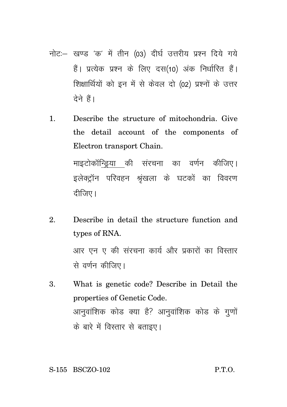- नोट: खण्ड 'क' में तीन (03) दीर्घ उत्तरीय प्रश्न दिये गये हैं। प्रत्येक प्रश्न के लिए दस(10) अंक निर्धारित हैं। शिक्षार्थियों को इन में से केवल दो (02) प्रश्नों के उत्तर टेने हैं।
- 1. Describe the structure of mitochondria. Give the detail account of the components of Electron transport Chain. माइटोकॉन्डिया की संरचना का वर्णन कीजिए। इलेक्ट्रॉन परिवहन श्रृंखला के घटकों का विवरण

दीजिए।

2. Describe in detail the structure function and types of RNA. आर एन ए की संरचना कार्य और प्रकारों का विस्तार

से वर्णन कीजिए।

3. What is genetic code? Describe in Detail the properties of Genetic Code. आनुवांशिक कोड क्या है? आनुवांशिक कोड के गुणों के बारे में विस्तार से बताइए।

S-155 BSCZO-102 P.T.O.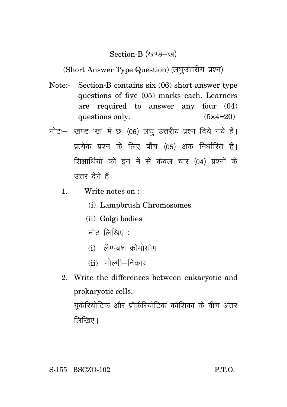## Section-B (खण्ड-ख)

(Short Answer Type Question) (लघुउत्तरीय प्रश्न)

- Note:- Section-B contains six (06) short answer type questions of five (05) marks each. Learners are required to answer any four (04) questions only.  $(5 \times 4=20)$
- नोट: खण्ड 'ख' में छः (06) लघु उत्तरीय प्रश्न दिये गये हैं। प्रत्येक प्रश्न के लिए पाँच (05) अंक निर्धारित हैं। शिक्षार्थियों को इन में से केवल चार (04) प्रश्नों के उत्तर देने हैं।
	- 1. Write notes on :
		- (i) Lampbrush Chromosomes
		- (ii) Golgi bodies
		- नोट $f$ लिखिए $\colon$
		- $(i)$  लेम्पबश कोमोसोम
		- $(ii)$  गोल्गी $-$ निकाय
	- 2. Write the differences between eukaryotic and prokaryotic cells.

युकेरियोटिक और प्रौकैरियोटिक कोशिका के बीच अंतर  $\sqrt{d}$ खिए।